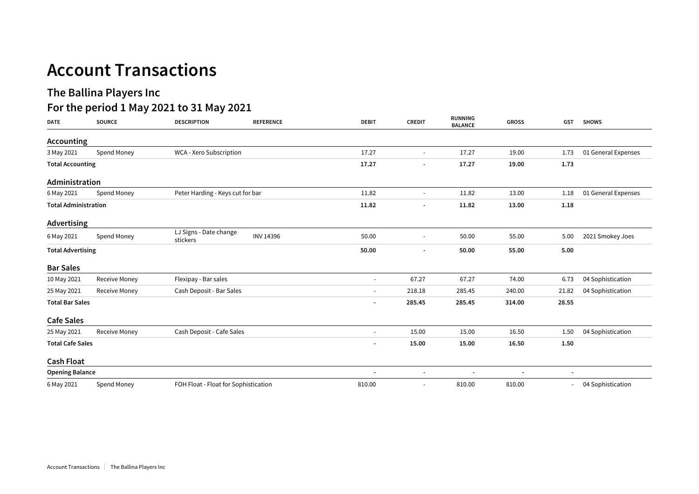## **Account Transactions**

## **The Ballina Players Inc**

## **For the period 1 May 2021 to 31 May 2021**

| <b>DATE</b>                 | <b>SOURCE</b> | <b>DESCRIPTION</b>                   | <b>REFERENCE</b> | <b>DEBIT</b>             | <b>CREDIT</b>            | <b>RUNNING</b><br><b>BALANCE</b> | <b>GROSS</b>   | <b>GST</b>               | <b>SHOWS</b>        |
|-----------------------------|---------------|--------------------------------------|------------------|--------------------------|--------------------------|----------------------------------|----------------|--------------------------|---------------------|
| Accounting                  |               |                                      |                  |                          |                          |                                  |                |                          |                     |
| 3 May 2021                  | Spend Money   | WCA - Xero Subscription              |                  | 17.27                    |                          | 17.27                            | 19.00          | 1.73                     | 01 General Expenses |
| <b>Total Accounting</b>     |               |                                      | 17.27            |                          | 17.27                    | 19.00                            | 1.73           |                          |                     |
| Administration              |               |                                      |                  |                          |                          |                                  |                |                          |                     |
| 6 May 2021                  | Spend Money   | Peter Harding - Keys cut for bar     | 11.82            | $\sim$                   | 11.82                    | 13.00                            | 1.18           | 01 General Expenses      |                     |
| <b>Total Administration</b> |               |                                      |                  | 11.82                    | $\overline{\phantom{a}}$ | 11.82                            | 13.00          | 1.18                     |                     |
| <b>Advertising</b>          |               |                                      |                  |                          |                          |                                  |                |                          |                     |
| 6 May 2021                  | Spend Money   | LJ Signs - Date change<br>stickers   | <b>INV 14396</b> | 50.00                    |                          | 50.00                            | 55.00          | 5.00                     | 2021 Smokey Joes    |
| <b>Total Advertising</b>    |               |                                      | 50.00            | $\overline{\phantom{a}}$ | 50.00                    | 55.00                            | 5.00           |                          |                     |
| <b>Bar Sales</b>            |               |                                      |                  |                          |                          |                                  |                |                          |                     |
| 10 May 2021                 | Receive Money | Flexipay - Bar sales                 |                  | $\blacksquare$           | 67.27                    | 67.27                            | 74.00          | 6.73                     | 04 Sophistication   |
| 25 May 2021                 | Receive Money | Cash Deposit - Bar Sales             |                  | $\blacksquare$           | 218.18                   | 285.45                           | 240.00         | 21.82                    | 04 Sophistication   |
| <b>Total Bar Sales</b>      |               |                                      |                  | $\overline{\phantom{a}}$ | 285.45                   | 285.45                           | 314.00         | 28.55                    |                     |
| <b>Cafe Sales</b>           |               |                                      |                  |                          |                          |                                  |                |                          |                     |
| 25 May 2021                 | Receive Money | Cash Deposit - Cafe Sales            |                  | $\sim$                   | 15.00                    | 15.00                            | 16.50          | 1.50                     | 04 Sophistication   |
| <b>Total Cafe Sales</b>     |               |                                      |                  | $\overline{\phantom{a}}$ | 15.00                    | 15.00                            | 16.50          | 1.50                     |                     |
| <b>Cash Float</b>           |               |                                      |                  |                          |                          |                                  |                |                          |                     |
| <b>Opening Balance</b>      |               |                                      |                  | $\overline{\phantom{a}}$ | $\overline{\phantom{a}}$ | $\overline{\phantom{a}}$         | $\overline{a}$ | $\overline{\phantom{a}}$ |                     |
| 6 May 2021                  | Spend Money   | FOH Float - Float for Sophistication |                  | 810.00                   |                          | 810.00                           | 810.00         |                          | 04 Sophistication   |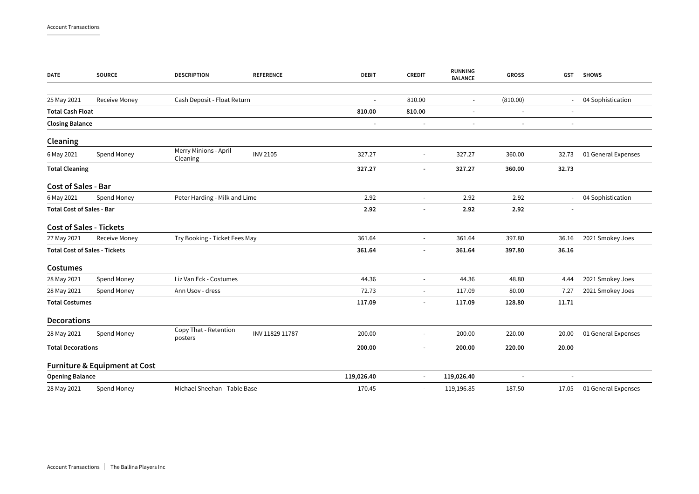| DATE                                 | <b>SOURCE</b>                            | <b>DESCRIPTION</b>                | <b>REFERENCE</b> | <b>DEBIT</b>             | <b>CREDIT</b>            | <b>RUNNING</b><br><b>BALANCE</b> | <b>GROSS</b>             | GST                      | <b>SHOWS</b>        |
|--------------------------------------|------------------------------------------|-----------------------------------|------------------|--------------------------|--------------------------|----------------------------------|--------------------------|--------------------------|---------------------|
| 25 May 2021                          | Receive Money                            | Cash Deposit - Float Return       |                  |                          | 810.00                   | $\overline{\phantom{a}}$         | (810.00)                 |                          | 04 Sophistication   |
| <b>Total Cash Float</b>              |                                          |                                   |                  | 810.00                   | 810.00                   | $\overline{\phantom{a}}$         | $\overline{\phantom{a}}$ | $\overline{\phantom{a}}$ |                     |
| <b>Closing Balance</b>               |                                          |                                   |                  | $\overline{a}$           | $\overline{\phantom{a}}$ | $\overline{\phantom{a}}$         | $\overline{\phantom{a}}$ | $\overline{\phantom{a}}$ |                     |
| Cleaning                             |                                          |                                   |                  |                          |                          |                                  |                          |                          |                     |
| 6 May 2021                           | Spend Money                              | Merry Minions - April<br>Cleaning | <b>INV 2105</b>  | 327.27                   |                          | 327.27                           | 360.00                   | 32.73                    | 01 General Expenses |
| <b>Total Cleaning</b>                |                                          |                                   |                  | 327.27                   |                          | 327.27                           | 360.00                   | 32.73                    |                     |
| <b>Cost of Sales - Bar</b>           |                                          |                                   |                  |                          |                          |                                  |                          |                          |                     |
| 6 May 2021                           | Spend Money                              | Peter Harding - Milk and Lime     |                  | 2.92                     | $\sim$                   | 2.92                             | 2.92                     | $\sim$                   | 04 Sophistication   |
| <b>Total Cost of Sales - Bar</b>     |                                          |                                   | 2.92             |                          | 2.92                     | 2.92                             | $\overline{\phantom{a}}$ |                          |                     |
| <b>Cost of Sales - Tickets</b>       |                                          |                                   |                  |                          |                          |                                  |                          |                          |                     |
| 27 May 2021                          | <b>Receive Money</b>                     | Try Booking - Ticket Fees May     |                  | 361.64                   | $\sim$                   | 361.64                           | 397.80                   | 36.16                    | 2021 Smokey Joes    |
| <b>Total Cost of Sales - Tickets</b> |                                          |                                   | 361.64           |                          | 361.64                   | 397.80                           | 36.16                    |                          |                     |
| <b>Costumes</b>                      |                                          |                                   |                  |                          |                          |                                  |                          |                          |                     |
| 28 May 2021                          | Spend Money                              | Liz Van Eck - Costumes            |                  | 44.36                    | $\overline{\phantom{a}}$ | 44.36                            | 48.80                    | 4.44                     | 2021 Smokey Joes    |
| 28 May 2021                          | Spend Money                              | Ann Usov - dress                  |                  | 72.73                    | $\overline{\phantom{a}}$ | 117.09                           | 80.00                    | 7.27                     | 2021 Smokey Joes    |
| <b>Total Costumes</b>                |                                          |                                   |                  | 117.09                   | $\overline{\phantom{a}}$ | 117.09                           | 128.80                   | 11.71                    |                     |
| <b>Decorations</b>                   |                                          |                                   |                  |                          |                          |                                  |                          |                          |                     |
| 28 May 2021                          | Spend Money                              | Copy That - Retention<br>posters  | INV 11829 11787  | 200.00                   |                          | 200.00                           | 220.00                   | 20.00                    | 01 General Expenses |
| <b>Total Decorations</b>             |                                          |                                   | 200.00           | $\overline{\phantom{a}}$ | 200.00                   | 220.00                           | 20.00                    |                          |                     |
|                                      | <b>Furniture &amp; Equipment at Cost</b> |                                   |                  |                          |                          |                                  |                          |                          |                     |
| <b>Opening Balance</b>               |                                          |                                   |                  | 119,026.40               | $\overline{\phantom{a}}$ | 119,026.40                       |                          |                          |                     |
| 28 May 2021                          | Spend Money                              | Michael Sheehan - Table Base      |                  | 170.45                   |                          | 119,196.85                       | 187.50                   | 17.05                    | 01 General Expenses |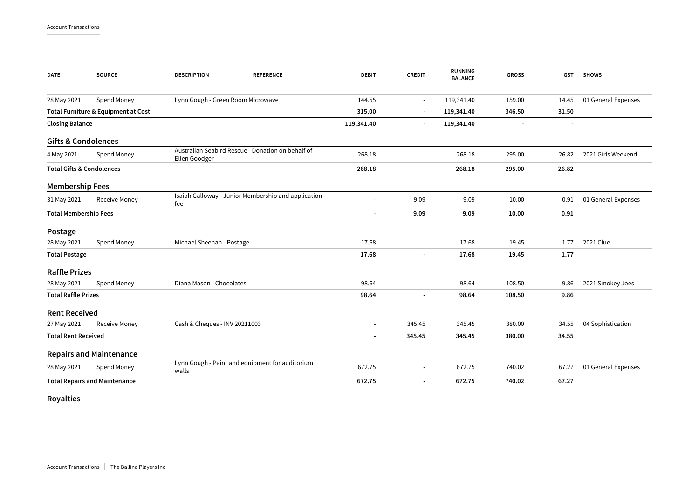| <b>DATE</b>                          | <b>SOURCE</b>                       | <b>DESCRIPTION</b>                | <b>REFERENCE</b>                                    | <b>DEBIT</b>   | <b>CREDIT</b>  | <b>RUNNING</b><br><b>BALANCE</b> | <b>GROSS</b> | GST                      | <b>SHOWS</b>        |
|--------------------------------------|-------------------------------------|-----------------------------------|-----------------------------------------------------|----------------|----------------|----------------------------------|--------------|--------------------------|---------------------|
| 28 May 2021                          | Spend Money                         | Lynn Gough - Green Room Microwave |                                                     | 144.55         | $\overline{a}$ | 119,341.40                       | 159.00       | 14.45                    | 01 General Expenses |
|                                      | Total Furniture & Equipment at Cost |                                   |                                                     | 315.00         | $\blacksquare$ | 119,341.40                       | 346.50       | 31.50                    |                     |
|                                      |                                     |                                   |                                                     |                |                |                                  |              |                          |                     |
| <b>Closing Balance</b>               |                                     |                                   |                                                     | 119,341.40     | $\overline{a}$ | 119,341.40                       |              | $\overline{\phantom{a}}$ |                     |
| <b>Gifts &amp; Condolences</b>       |                                     |                                   |                                                     |                |                |                                  |              |                          |                     |
| 4 May 2021                           | Spend Money                         | Ellen Goodger                     | Australian Seabird Rescue - Donation on behalf of   | 268.18         | $\blacksquare$ | 268.18                           | 295.00       | 26.82                    | 2021 Girls Weekend  |
| <b>Total Gifts &amp; Condolences</b> |                                     |                                   |                                                     | 268.18         |                | 268.18                           | 295.00       | 26.82                    |                     |
| <b>Membership Fees</b>               |                                     |                                   |                                                     |                |                |                                  |              |                          |                     |
| 31 May 2021                          | Receive Money                       | fee                               | Isaiah Galloway - Junior Membership and application | ÷.             | 9.09           | 9.09                             | 10.00        | 0.91                     | 01 General Expenses |
| <b>Total Membership Fees</b>         |                                     |                                   |                                                     | 9.09           | 9.09           | 10.00                            | 0.91         |                          |                     |
| Postage                              |                                     |                                   |                                                     |                |                |                                  |              |                          |                     |
| 28 May 2021                          | Spend Money                         | Michael Sheehan - Postage         |                                                     | 17.68          | ÷,             | 17.68                            | 19.45        | 1.77                     | 2021 Clue           |
| <b>Total Postage</b>                 |                                     |                                   |                                                     | 17.68          |                | 17.68                            | 19.45        | 1.77                     |                     |
| <b>Raffle Prizes</b>                 |                                     |                                   |                                                     |                |                |                                  |              |                          |                     |
| 28 May 2021                          | Spend Money                         | Diana Mason - Chocolates          |                                                     | 98.64          | L,             | 98.64                            | 108.50       | 9.86                     | 2021 Smokey Joes    |
| <b>Total Raffle Prizes</b>           |                                     |                                   | 98.64                                               |                | 98.64          | 108.50                           | 9.86         |                          |                     |
| <b>Rent Received</b>                 |                                     |                                   |                                                     |                |                |                                  |              |                          |                     |
| 27 May 2021                          | <b>Receive Money</b>                | Cash & Cheques - INV 20211003     |                                                     | $\blacksquare$ | 345.45         | 345.45                           | 380.00       | 34.55                    | 04 Sophistication   |
| <b>Total Rent Received</b>           |                                     |                                   |                                                     | 345.45         | 345.45         | 380.00                           | 34.55        |                          |                     |
|                                      | <b>Repairs and Maintenance</b>      |                                   |                                                     |                |                |                                  |              |                          |                     |
| 28 May 2021                          | Spend Money                         | walls                             | Lynn Gough - Paint and equipment for auditorium     | 672.75         | $\blacksquare$ | 672.75                           | 740.02       | 67.27                    | 01 General Expenses |
| <b>Total Repairs and Maintenance</b> |                                     |                                   | 672.75                                              | ٠              | 672.75         | 740.02                           | 67.27        |                          |                     |
| <b>Royalties</b>                     |                                     |                                   |                                                     |                |                |                                  |              |                          |                     |